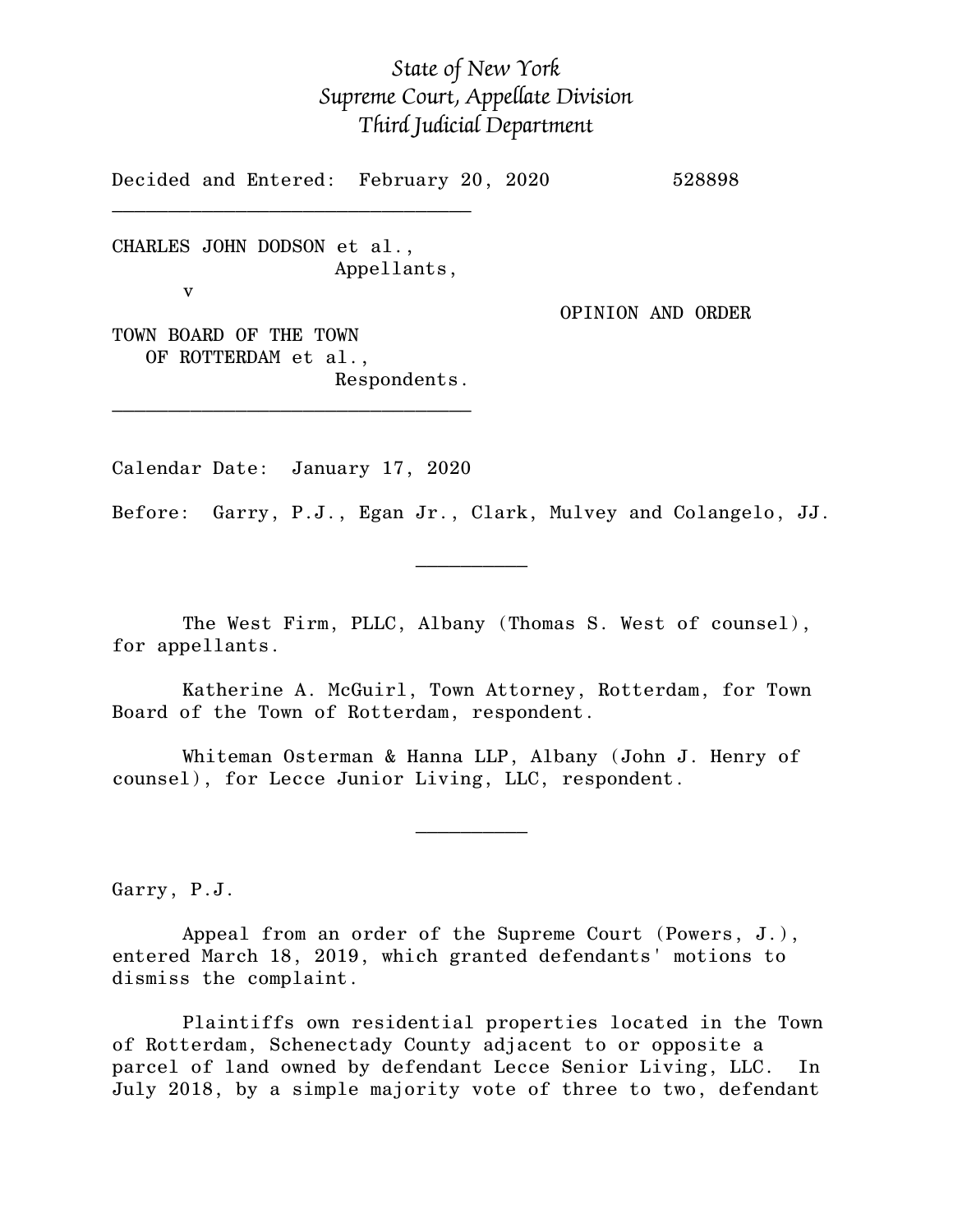# *State of New York Supreme Court, Appellate Division Third Judicial Department*

Decided and Entered: February 20, 2020 528898

CHARLES JOHN DODSON et al., Appellants, v

 $\mathcal{L}_\text{max}$ 

OPINION AND ORDER

TOWN BOARD OF THE TOWN OF ROTTERDAM et al., Respondents.

\_\_\_\_\_\_\_\_\_\_\_\_\_\_\_\_\_\_\_\_\_\_\_\_\_\_\_\_\_\_\_\_

Calendar Date: January 17, 2020

 $\mathcal{L}_\text{max}$  and  $\mathcal{L}_\text{max}$  are the set of  $\mathcal{L}_\text{max}$  . The set of  $\mathcal{L}_\text{max}$ 

 $\mathcal{L}_\text{max}$  and  $\mathcal{L}_\text{max}$  are the set of  $\mathcal{L}_\text{max}$  . The set of  $\mathcal{L}_\text{max}$ 

Before: Garry, P.J., Egan Jr., Clark, Mulvey and Colangelo, JJ.

The West Firm, PLLC, Albany (Thomas S. West of counsel), for appellants.

Katherine A. McGuirl, Town Attorney, Rotterdam, for Town Board of the Town of Rotterdam, respondent.

Whiteman Osterman & Hanna LLP, Albany (John J. Henry of counsel), for Lecce Junior Living, LLC, respondent.

Garry, P.J.

Appeal from an order of the Supreme Court (Powers, J.), entered March 18, 2019, which granted defendants' motions to dismiss the complaint.

Plaintiffs own residential properties located in the Town of Rotterdam, Schenectady County adjacent to or opposite a parcel of land owned by defendant Lecce Senior Living, LLC. In July 2018, by a simple majority vote of three to two, defendant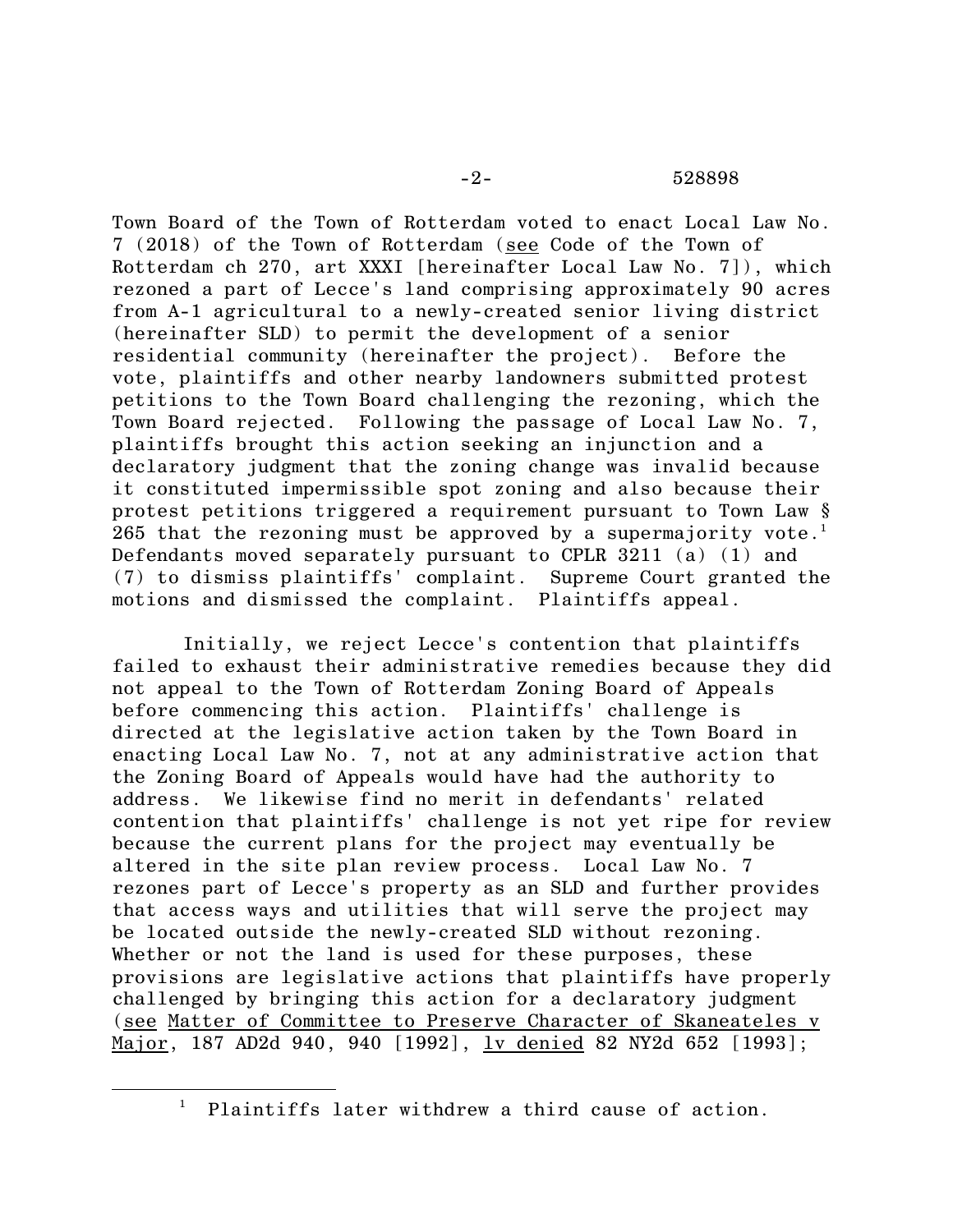Town Board of the Town of Rotterdam voted to enact Local Law No. 7 (2018) of the Town of Rotterdam (see Code of the Town of Rotterdam ch 270, art XXXI [hereinafter Local Law No. 7]), which rezoned a part of Lecce's land comprising approximately 90 acres from A-1 agricultural to a newly-created senior living district (hereinafter SLD) to permit the development of a senior residential community (hereinafter the project). Before the vote, plaintiffs and other nearby landowners submitted protest petitions to the Town Board challenging the rezoning, which the Town Board rejected. Following the passage of Local Law No. 7, plaintiffs brought this action seeking an injunction and a declaratory judgment that the zoning change was invalid because it constituted impermissible spot zoning and also because their protest petitions triggered a requirement pursuant to Town Law §  $265$  that the rezoning must be approved by a supermajority vote.<sup>1</sup> Defendants moved separately pursuant to CPLR 3211 (a) (1) and (7) to dismiss plaintiffs' complaint. Supreme Court granted the motions and dismissed the complaint. Plaintiffs appeal.

Initially, we reject Lecce's contention that plaintiffs failed to exhaust their administrative remedies because they did not appeal to the Town of Rotterdam Zoning Board of Appeals before commencing this action. Plaintiffs' challenge is directed at the legislative action taken by the Town Board in enacting Local Law No. 7, not at any administrative action that the Zoning Board of Appeals would have had the authority to address. We likewise find no merit in defendants' related contention that plaintiffs' challenge is not yet ripe for review because the current plans for the project may eventually be altered in the site plan review process. Local Law No. 7 rezones part of Lecce's property as an SLD and further provides that access ways and utilities that will serve the project may be located outside the newly-created SLD without rezoning. Whether or not the land is used for these purposes, these provisions are legislative actions that plaintiffs have properly challenged by bringing this action for a declaratory judgment (see Matter of Committee to Preserve Character of Skaneateles v Major, 187 AD2d 940, 940 [1992], <u>lv denied</u> 82 NY2d 652 [1993];

Plaintiffs later withdrew a third cause of action.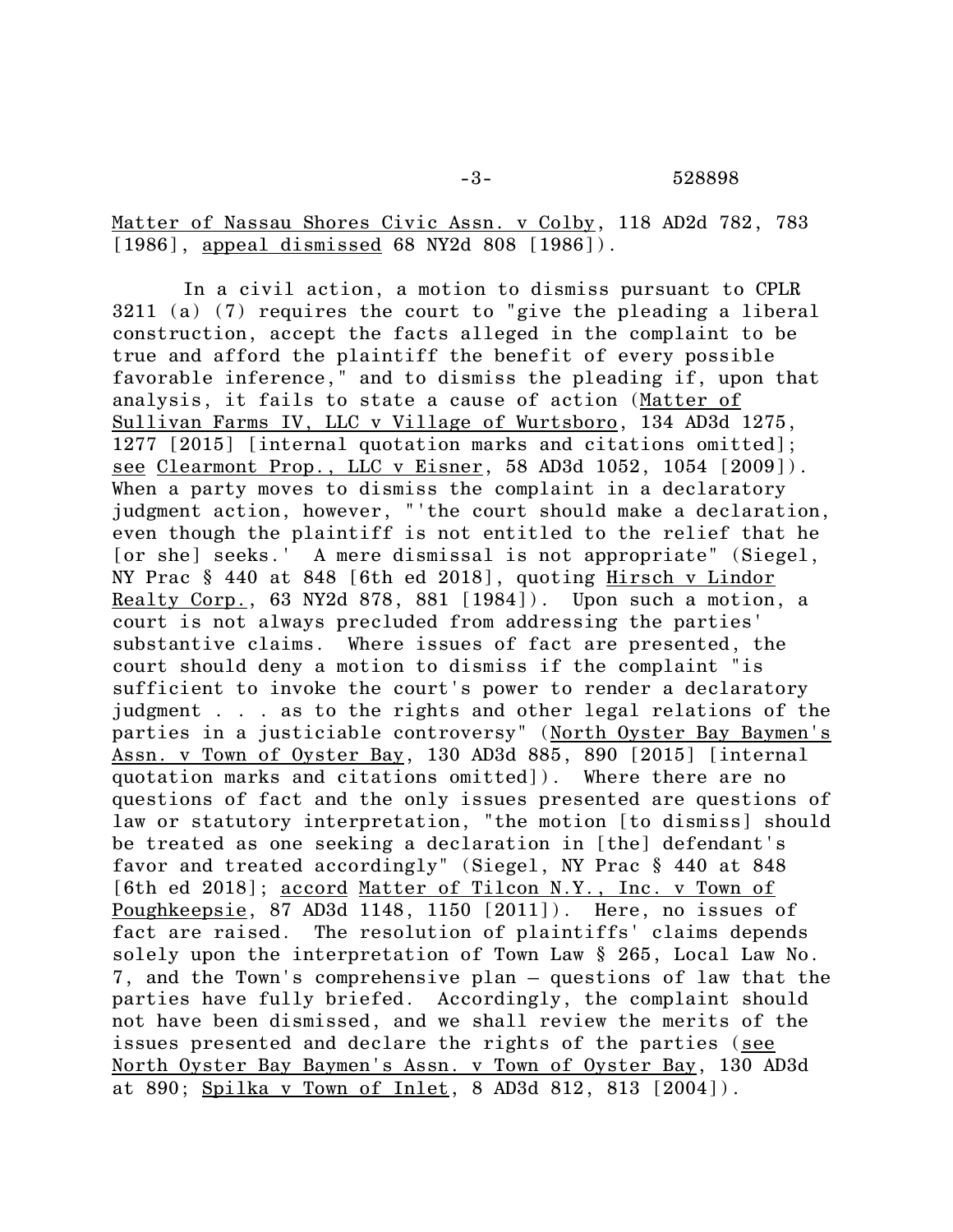Matter of Nassau Shores Civic Assn. v Colby, 118 AD2d 782, 783 [1986], appeal dismissed 68 NY2d 808 [1986]).

In a civil action, a motion to dismiss pursuant to CPLR 3211 (a) (7) requires the court to "give the pleading a liberal construction, accept the facts alleged in the complaint to be true and afford the plaintiff the benefit of every possible favorable inference," and to dismiss the pleading if, upon that analysis, it fails to state a cause of action (Matter of Sullivan Farms IV, LLC v Village of Wurtsboro, 134 AD3d 1275, 1277 [2015] [internal quotation marks and citations omitted]; see Clearmont Prop., LLC v Eisner, 58 AD3d 1052, 1054 [2009]). When a party moves to dismiss the complaint in a declaratory judgment action, however, "'the court should make a declaration, even though the plaintiff is not entitled to the relief that he [or she] seeks.' A mere dismissal is not appropriate" (Siegel, NY Prac § 440 at 848 [6th ed 2018], quoting Hirsch v Lindor Realty Corp., 63 NY2d 878, 881 [1984]). Upon such a motion, a court is not always precluded from addressing the parties' substantive claims. Where issues of fact are presented, the court should deny a motion to dismiss if the complaint "is sufficient to invoke the court's power to render a declaratory judgment . . . as to the rights and other legal relations of the parties in a justiciable controversy" (North Oyster Bay Baymen's Assn. v Town of Oyster Bay, 130 AD3d 885, 890 [2015] [internal quotation marks and citations omitted]). Where there are no questions of fact and the only issues presented are questions of law or statutory interpretation, "the motion [to dismiss] should be treated as one seeking a declaration in [the] defendant's favor and treated accordingly" (Siegel, NY Prac § 440 at 848 [6th ed 2018]; accord Matter of Tilcon N.Y., Inc. v Town of Poughkeepsie, 87 AD3d 1148, 1150 [2011]). Here, no issues of fact are raised. The resolution of plaintiffs' claims depends solely upon the interpretation of Town Law § 265, Local Law No. 7, and the Town's comprehensive plan – questions of law that the parties have fully briefed. Accordingly, the complaint should not have been dismissed, and we shall review the merits of the issues presented and declare the rights of the parties (see North Oyster Bay Baymen's Assn. v Town of Oyster Bay, 130 AD3d at 890; Spilka v Town of Inlet, 8 AD3d 812, 813 [2004]).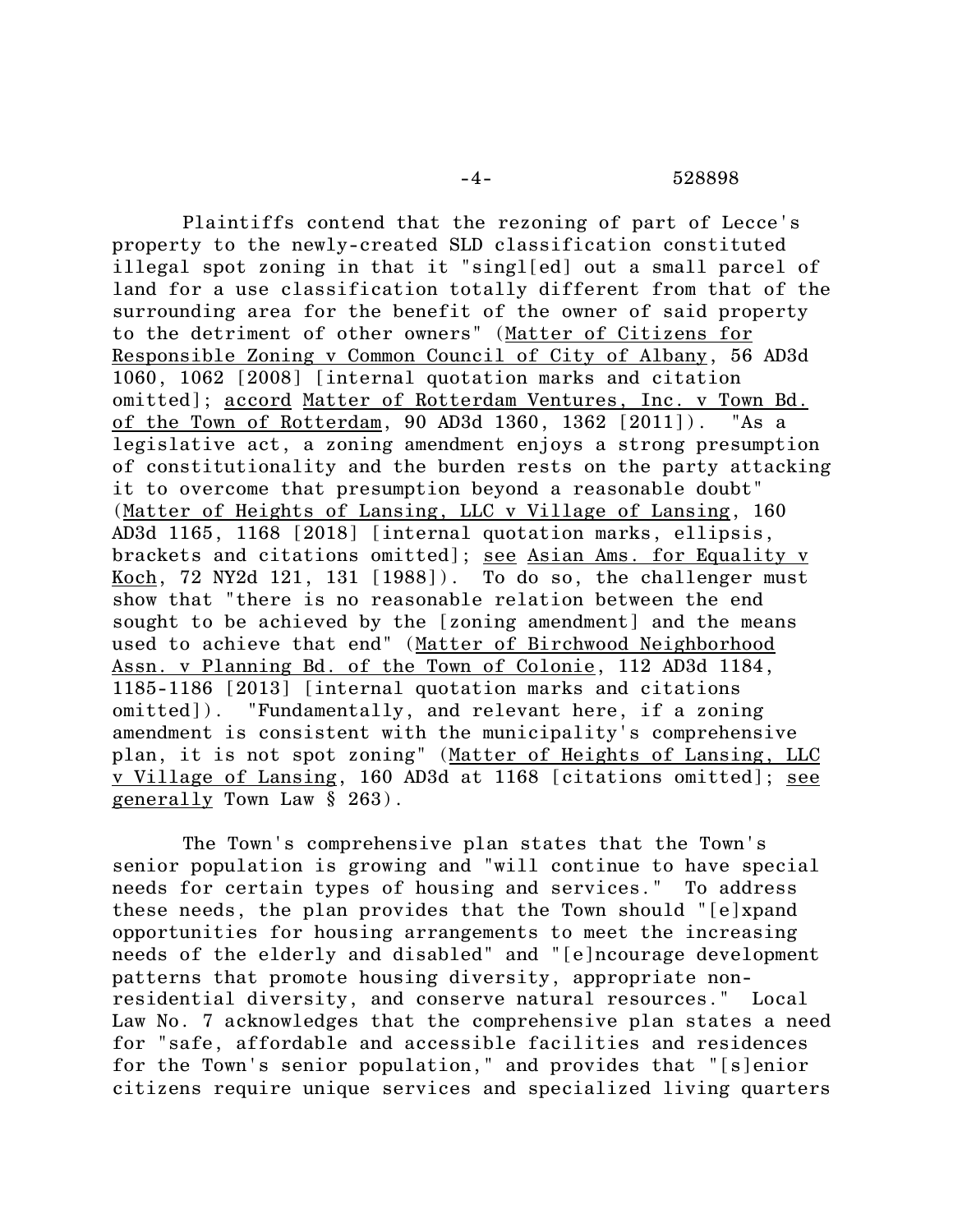Plaintiffs contend that the rezoning of part of Lecce's property to the newly-created SLD classification constituted illegal spot zoning in that it "singl[ed] out a small parcel of land for a use classification totally different from that of the surrounding area for the benefit of the owner of said property to the detriment of other owners" (Matter of Citizens for Responsible Zoning v Common Council of City of Albany, 56 AD3d 1060, 1062 [2008] [internal quotation marks and citation omitted]; accord Matter of Rotterdam Ventures, Inc. v Town Bd. of the Town of Rotterdam, 90 AD3d 1360, 1362 [2011]). "As a legislative act, a zoning amendment enjoys a strong presumption of constitutionality and the burden rests on the party attacking it to overcome that presumption beyond a reasonable doubt" (Matter of Heights of Lansing, LLC v Village of Lansing, 160 AD3d 1165, 1168 [2018] [internal quotation marks, ellipsis, brackets and citations omitted]; see Asian Ams. for Equality v Koch, 72 NY2d 121, 131 [1988]). To do so, the challenger must show that "there is no reasonable relation between the end sought to be achieved by the [zoning amendment] and the means used to achieve that end" (Matter of Birchwood Neighborhood Assn. v Planning Bd. of the Town of Colonie, 112 AD3d 1184, 1185-1186 [2013] [internal quotation marks and citations omitted]). "Fundamentally, and relevant here, if a zoning amendment is consistent with the municipality's comprehensive plan, it is not spot zoning" (Matter of Heights of Lansing, LLC v Village of Lansing, 160 AD3d at 1168 [citations omitted]; see generally Town Law § 263).

The Town's comprehensive plan states that the Town's senior population is growing and "will continue to have special needs for certain types of housing and services." To address these needs, the plan provides that the Town should "[e]xpand opportunities for housing arrangements to meet the increasing needs of the elderly and disabled" and "[e]ncourage development patterns that promote housing diversity, appropriate nonresidential diversity, and conserve natural resources." Local Law No. 7 acknowledges that the comprehensive plan states a need for "safe, affordable and accessible facilities and residences for the Town's senior population," and provides that "[s]enior citizens require unique services and specialized living quarters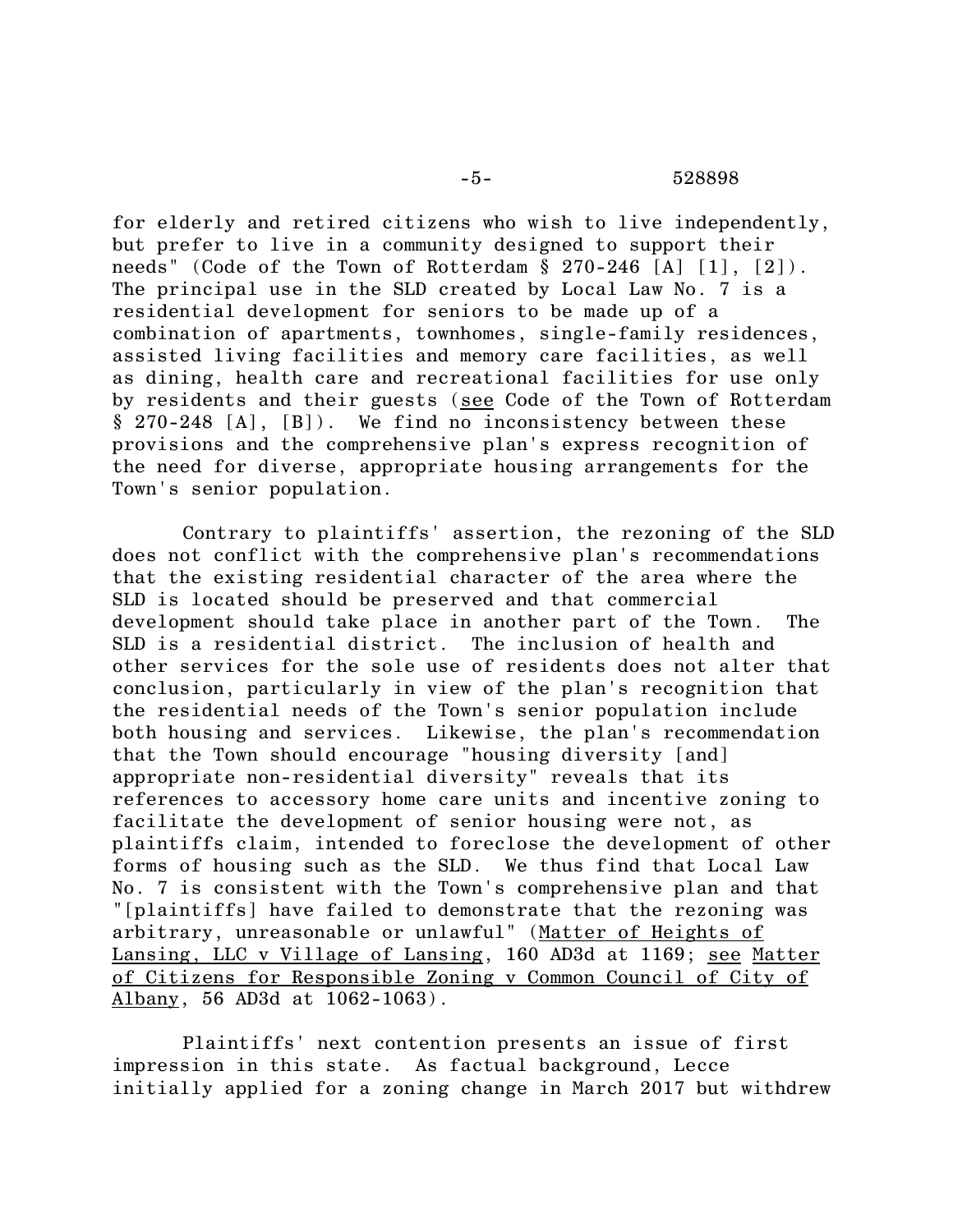## -5- 528898

for elderly and retired citizens who wish to live independently, but prefer to live in a community designed to support their needs" (Code of the Town of Rotterdam § 270-246 [A] [1], [2]). The principal use in the SLD created by Local Law No. 7 is a residential development for seniors to be made up of a combination of apartments, townhomes, single-family residences, assisted living facilities and memory care facilities, as well as dining, health care and recreational facilities for use only by residents and their guests (see Code of the Town of Rotterdam § 270-248 [A], [B]). We find no inconsistency between these provisions and the comprehensive plan's express recognition of the need for diverse, appropriate housing arrangements for the Town's senior population.

Contrary to plaintiffs' assertion, the rezoning of the SLD does not conflict with the comprehensive plan's recommendations that the existing residential character of the area where the SLD is located should be preserved and that commercial development should take place in another part of the Town. The SLD is a residential district. The inclusion of health and other services for the sole use of residents does not alter that conclusion, particularly in view of the plan's recognition that the residential needs of the Town's senior population include both housing and services. Likewise, the plan's recommendation that the Town should encourage "housing diversity [and] appropriate non-residential diversity" reveals that its references to accessory home care units and incentive zoning to facilitate the development of senior housing were not, as plaintiffs claim, intended to foreclose the development of other forms of housing such as the SLD. We thus find that Local Law No. 7 is consistent with the Town's comprehensive plan and that "[plaintiffs] have failed to demonstrate that the rezoning was arbitrary, unreasonable or unlawful" (Matter of Heights of Lansing, LLC v Village of Lansing, 160 AD3d at 1169; see Matter of Citizens for Responsible Zoning v Common Council of City of Albany, 56 AD3d at 1062-1063).

Plaintiffs' next contention presents an issue of first impression in this state. As factual background, Lecce initially applied for a zoning change in March 2017 but withdrew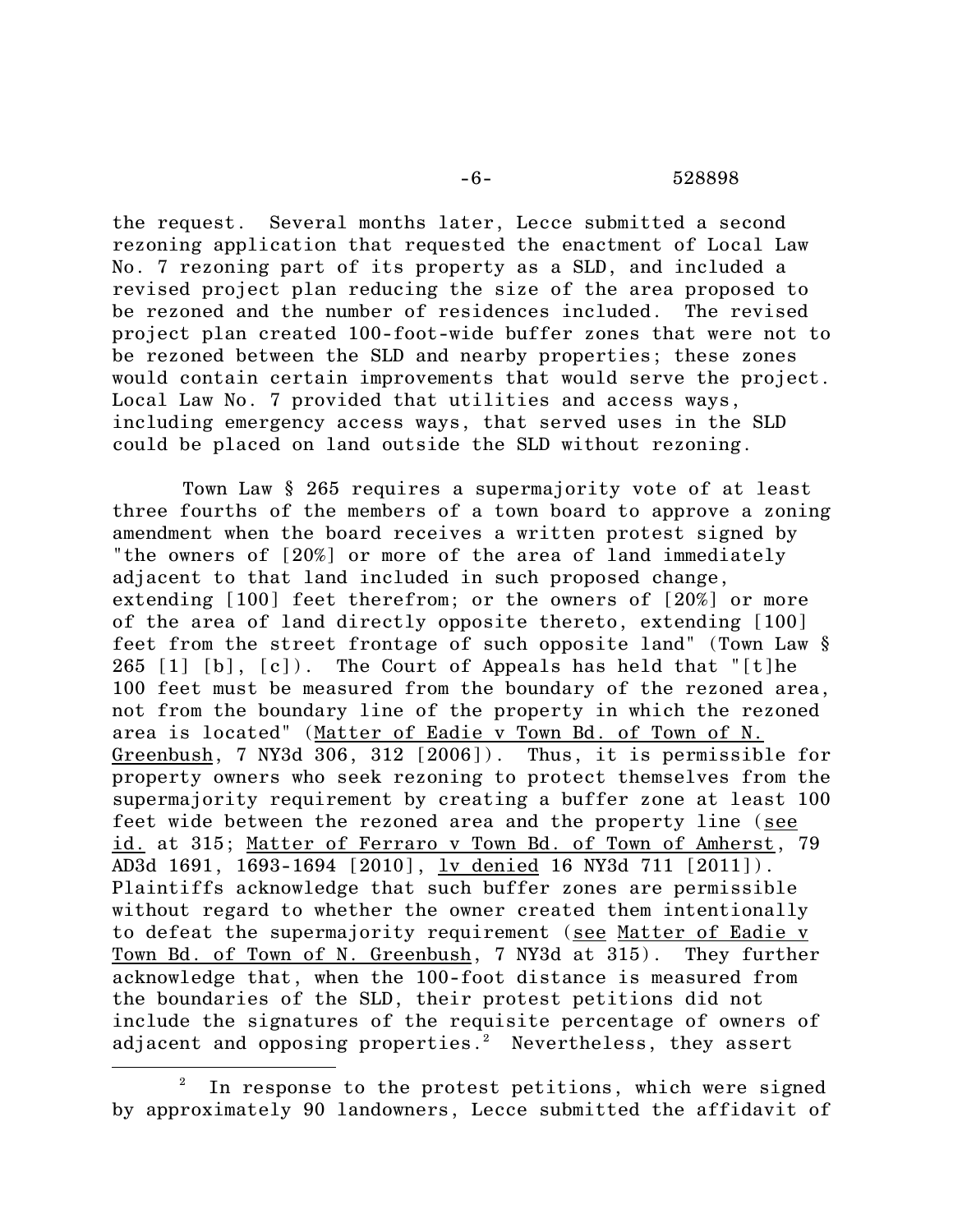### -6- 528898

the request. Several months later, Lecce submitted a second rezoning application that requested the enactment of Local Law No. 7 rezoning part of its property as a SLD, and included a revised project plan reducing the size of the area proposed to be rezoned and the number of residences included. The revised project plan created 100-foot-wide buffer zones that were not to be rezoned between the SLD and nearby properties; these zones would contain certain improvements that would serve the project. Local Law No. 7 provided that utilities and access ways, including emergency access ways, that served uses in the SLD could be placed on land outside the SLD without rezoning.

Town Law § 265 requires a supermajority vote of at least three fourths of the members of a town board to approve a zoning amendment when the board receives a written protest signed by "the owners of [20%] or more of the area of land immediately adjacent to that land included in such proposed change, extending [100] feet therefrom; or the owners of [20%] or more of the area of land directly opposite thereto, extending [100] feet from the street frontage of such opposite land" (Town Law § 265  $[1]$   $[b]$ ,  $[c]$ ). The Court of Appeals has held that "[t]he 100 feet must be measured from the boundary of the rezoned area, not from the boundary line of the property in which the rezoned area is located" (Matter of Eadie v Town Bd. of Town of N. Greenbush, 7 NY3d 306, 312 [2006]). Thus, it is permissible for property owners who seek rezoning to protect themselves from the supermajority requirement by creating a buffer zone at least 100 feet wide between the rezoned area and the property line (see id. at 315; Matter of Ferraro v Town Bd. of Town of Amherst, 79 AD3d 1691, 1693-1694 [2010], lv denied 16 NY3d 711 [2011]). Plaintiffs acknowledge that such buffer zones are permissible without regard to whether the owner created them intentionally to defeat the supermajority requirement (see Matter of Eadie v Town Bd. of Town of N. Greenbush, 7 NY3d at 315). They further acknowledge that, when the 100-foot distance is measured from the boundaries of the SLD, their protest petitions did not include the signatures of the requisite percentage of owners of adjacent and opposing properties.<sup>2</sup> Nevertheless, they assert

In response to the protest petitions, which were signed by approximately 90 landowners, Lecce submitted the affidavit of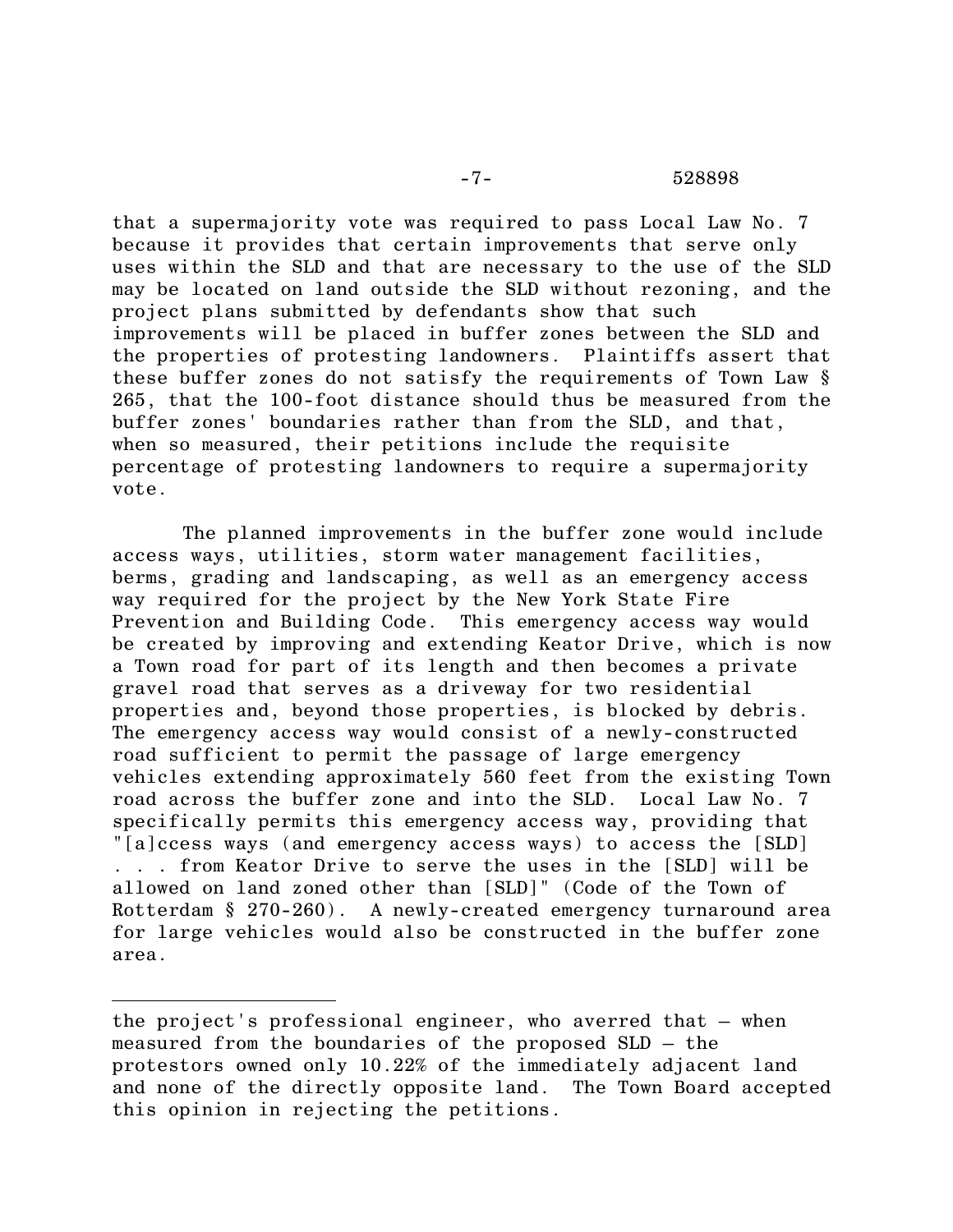that a supermajority vote was required to pass Local Law No. 7 because it provides that certain improvements that serve only uses within the SLD and that are necessary to the use of the SLD may be located on land outside the SLD without rezoning, and the project plans submitted by defendants show that such improvements will be placed in buffer zones between the SLD and the properties of protesting landowners. Plaintiffs assert that these buffer zones do not satisfy the requirements of Town Law § 265, that the 100-foot distance should thus be measured from the buffer zones' boundaries rather than from the SLD, and that, when so measured, their petitions include the requisite percentage of protesting landowners to require a supermajority vote.

The planned improvements in the buffer zone would include access ways, utilities, storm water management facilities, berms, grading and landscaping, as well as an emergency access way required for the project by the New York State Fire Prevention and Building Code. This emergency access way would be created by improving and extending Keator Drive, which is now a Town road for part of its length and then becomes a private gravel road that serves as a driveway for two residential properties and, beyond those properties, is blocked by debris. The emergency access way would consist of a newly-constructed road sufficient to permit the passage of large emergency vehicles extending approximately 560 feet from the existing Town road across the buffer zone and into the SLD. Local Law No. 7 specifically permits this emergency access way, providing that "[a]ccess ways (and emergency access ways) to access the [SLD] . . . from Keator Drive to serve the uses in the [SLD] will be allowed on land zoned other than [SLD]" (Code of the Town of Rotterdam § 270-260). A newly-created emergency turnaround area for large vehicles would also be constructed in the buffer zone area.

the project's professional engineer, who averred that – when measured from the boundaries of the proposed SLD – the protestors owned only 10.22% of the immediately adjacent land and none of the directly opposite land. The Town Board accepted this opinion in rejecting the petitions.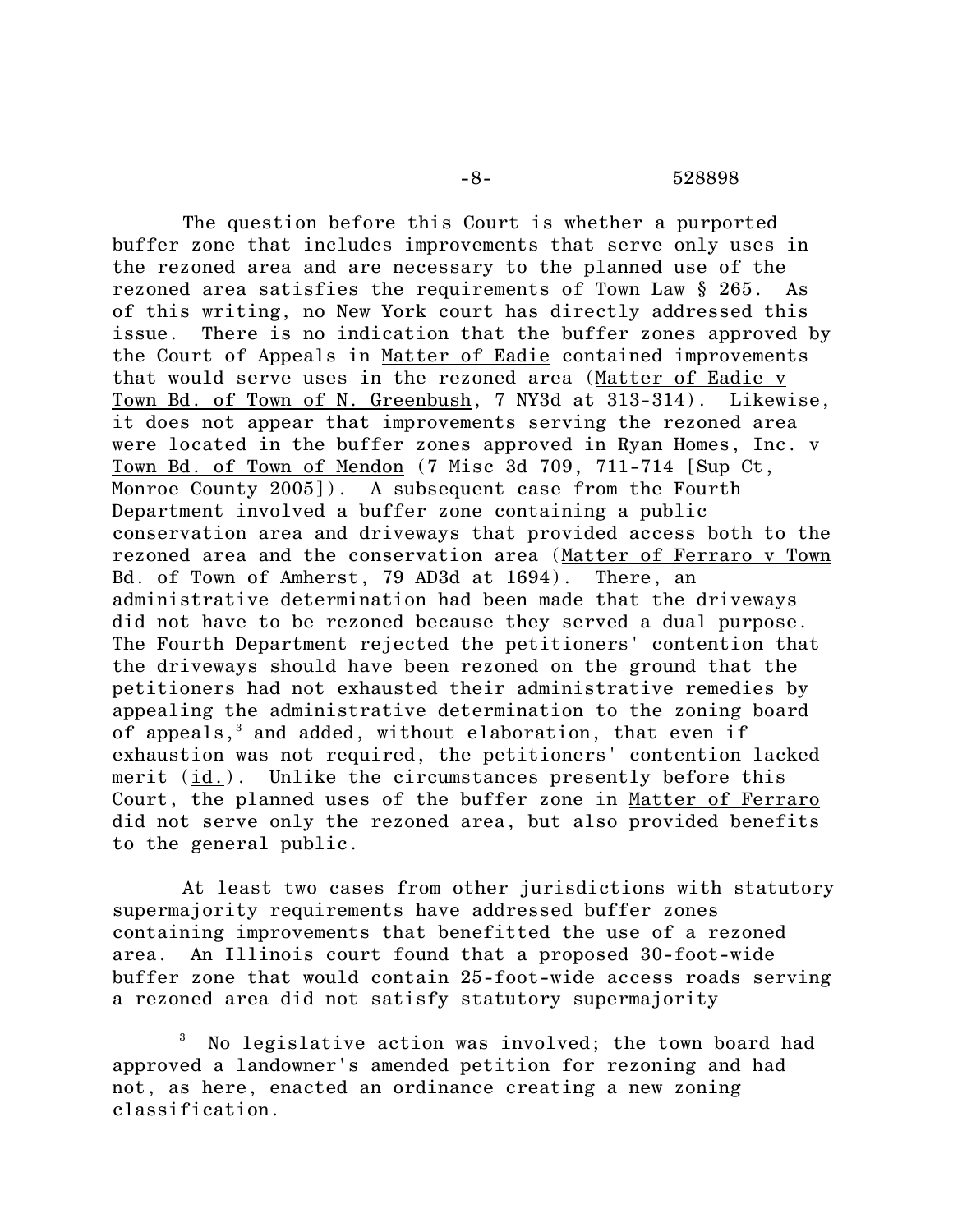#### -8- 528898

The question before this Court is whether a purported buffer zone that includes improvements that serve only uses in the rezoned area and are necessary to the planned use of the rezoned area satisfies the requirements of Town Law § 265. As of this writing, no New York court has directly addressed this issue. There is no indication that the buffer zones approved by the Court of Appeals in Matter of Eadie contained improvements that would serve uses in the rezoned area (Matter of Eadie v Town Bd. of Town of N. Greenbush, 7 NY3d at 313-314). Likewise, it does not appear that improvements serving the rezoned area were located in the buffer zones approved in Ryan Homes, Inc. v Town Bd. of Town of Mendon (7 Misc 3d 709, 711-714 [Sup Ct, Monroe County 2005]). A subsequent case from the Fourth Department involved a buffer zone containing a public conservation area and driveways that provided access both to the rezoned area and the conservation area (Matter of Ferraro v Town Bd. of Town of Amherst, 79 AD3d at 1694). There, an administrative determination had been made that the driveways did not have to be rezoned because they served a dual purpose. The Fourth Department rejected the petitioners' contention that the driveways should have been rezoned on the ground that the petitioners had not exhausted their administrative remedies by appealing the administrative determination to the zoning board of appeals, <sup>3</sup> and added, without elaboration, that even if exhaustion was not required, the petitioners' contention lacked merit (id.). Unlike the circumstances presently before this Court, the planned uses of the buffer zone in Matter of Ferraro did not serve only the rezoned area, but also provided benefits to the general public.

At least two cases from other jurisdictions with statutory supermajority requirements have addressed buffer zones containing improvements that benefitted the use of a rezoned area. An Illinois court found that a proposed 30-foot-wide buffer zone that would contain 25-foot-wide access roads serving a rezoned area did not satisfy statutory supermajority

<sup>3</sup> No legislative action was involved; the town board had approved a landowner's amended petition for rezoning and had not, as here, enacted an ordinance creating a new zoning classification.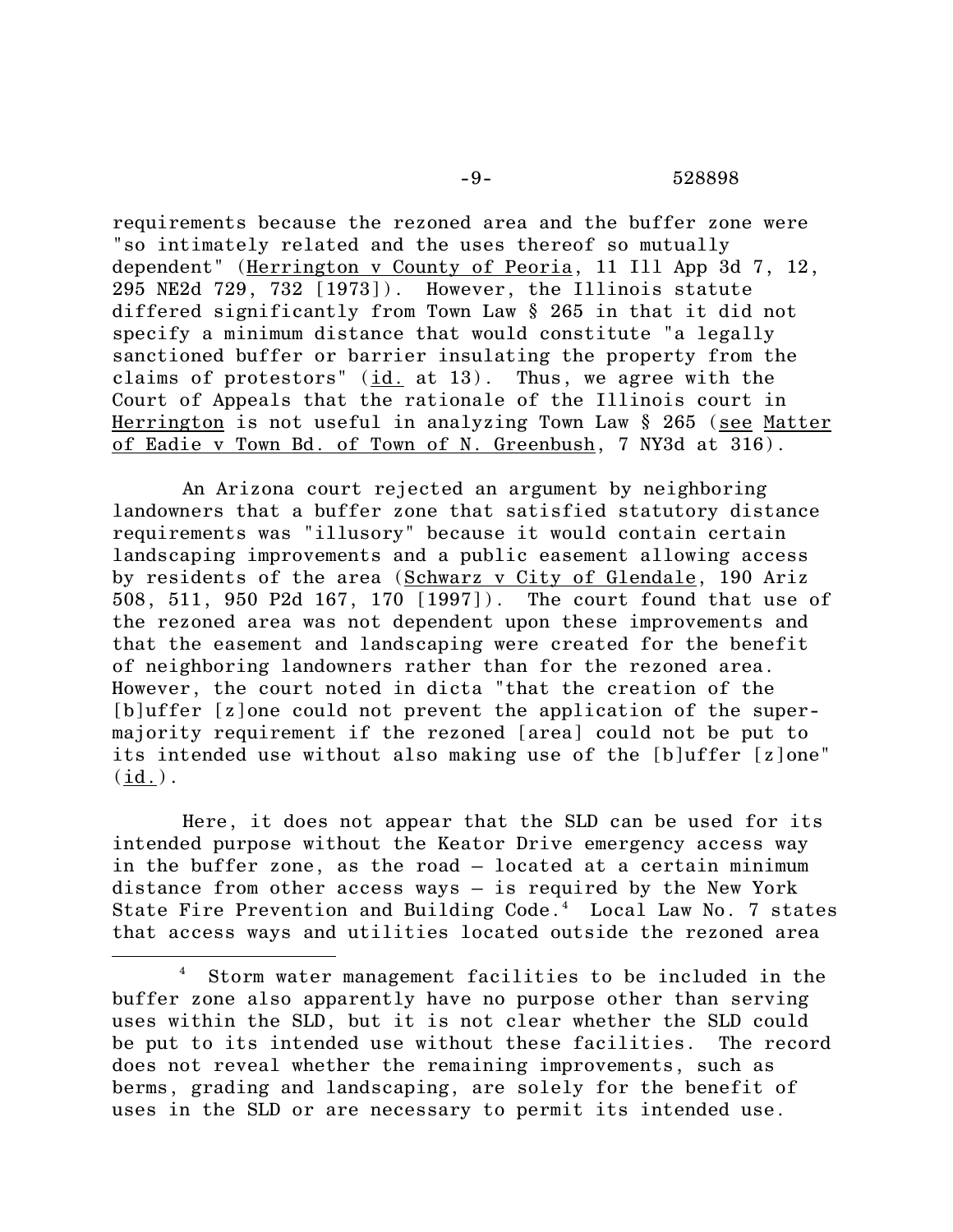requirements because the rezoned area and the buffer zone were "so intimately related and the uses thereof so mutually dependent" (Herrington v County of Peoria, 11 Ill App 3d 7, 12, 295 NE2d 729, 732 [1973]). However, the Illinois statute differed significantly from Town Law § 265 in that it did not specify a minimum distance that would constitute "a legally sanctioned buffer or barrier insulating the property from the claims of protestors" (id. at 13). Thus, we agree with the Court of Appeals that the rationale of the Illinois court in Herrington is not useful in analyzing Town Law § 265 (see Matter of Eadie v Town Bd. of Town of N. Greenbush, 7 NY3d at 316).

An Arizona court rejected an argument by neighboring landowners that a buffer zone that satisfied statutory distance requirements was "illusory" because it would contain certain landscaping improvements and a public easement allowing access by residents of the area (Schwarz v City of Glendale, 190 Ariz 508, 511, 950 P2d 167, 170 [1997]). The court found that use of the rezoned area was not dependent upon these improvements and that the easement and landscaping were created for the benefit of neighboring landowners rather than for the rezoned area. However, the court noted in dicta "that the creation of the [b]uffer [z]one could not prevent the application of the supermajority requirement if the rezoned [area] could not be put to its intended use without also making use of the [b]uffer [z]one"  $(id.)$ .

Here, it does not appear that the SLD can be used for its intended purpose without the Keator Drive emergency access way in the buffer zone, as the road – located at a certain minimum distance from other access ways – is required by the New York State Fire Prevention and Building Code.<sup>4</sup> Local Law No. 7 states that access ways and utilities located outside the rezoned area

<sup>4</sup> Storm water management facilities to be included in the buffer zone also apparently have no purpose other than serving uses within the SLD, but it is not clear whether the SLD could be put to its intended use without these facilities. The record does not reveal whether the remaining improvements, such as berms, grading and landscaping, are solely for the benefit of uses in the SLD or are necessary to permit its intended use.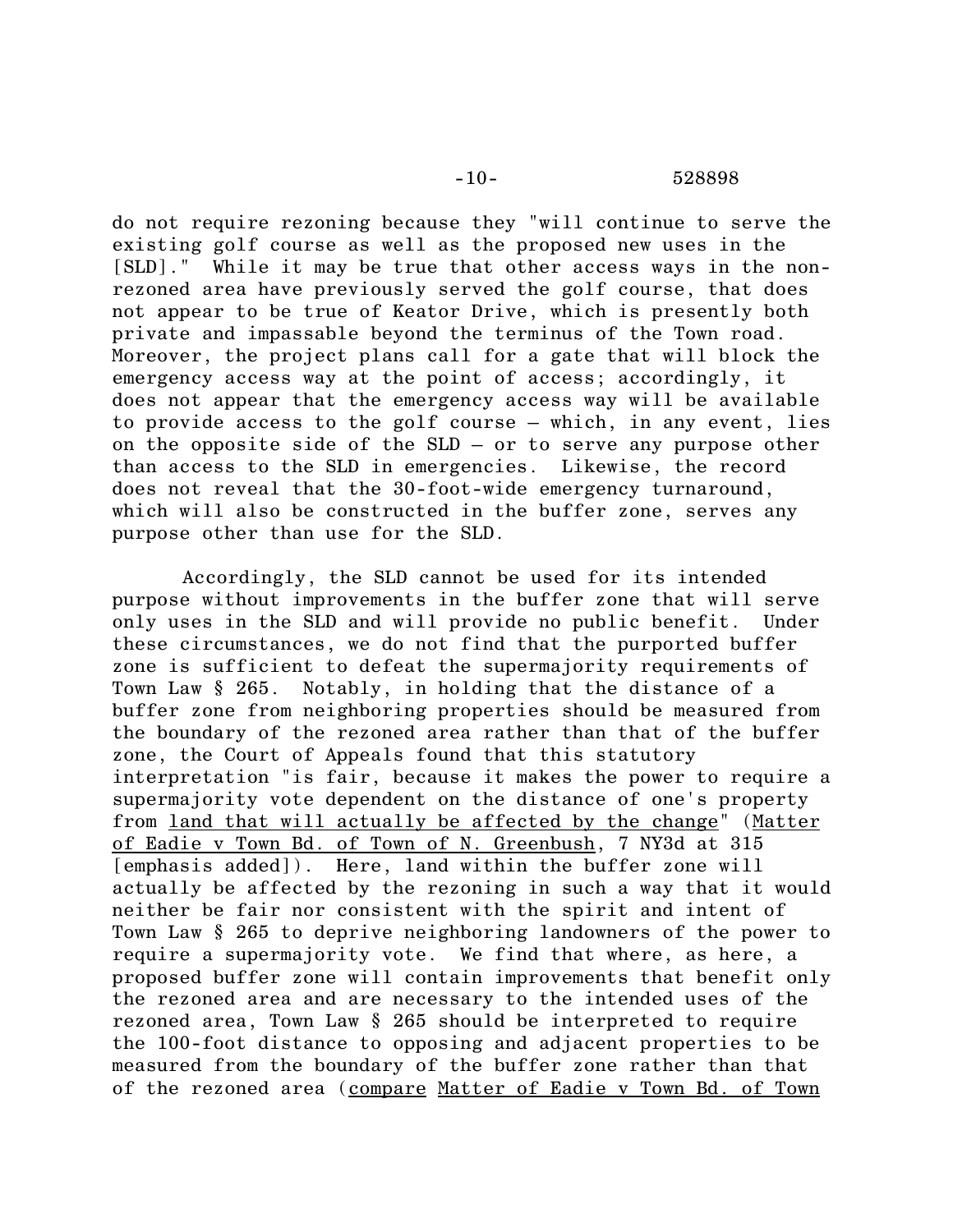do not require rezoning because they "will continue to serve the existing golf course as well as the proposed new uses in the [SLD]." While it may be true that other access ways in the nonrezoned area have previously served the golf course, that does not appear to be true of Keator Drive, which is presently both private and impassable beyond the terminus of the Town road. Moreover, the project plans call for a gate that will block the emergency access way at the point of access; accordingly, it does not appear that the emergency access way will be available to provide access to the golf course – which, in any event, lies on the opposite side of the SLD – or to serve any purpose other than access to the SLD in emergencies. Likewise, the record does not reveal that the 30-foot-wide emergency turnaround, which will also be constructed in the buffer zone, serves any purpose other than use for the SLD.

Accordingly, the SLD cannot be used for its intended purpose without improvements in the buffer zone that will serve only uses in the SLD and will provide no public benefit. Under these circumstances, we do not find that the purported buffer zone is sufficient to defeat the supermajority requirements of Town Law § 265. Notably, in holding that the distance of a buffer zone from neighboring properties should be measured from the boundary of the rezoned area rather than that of the buffer zone, the Court of Appeals found that this statutory interpretation "is fair, because it makes the power to require a supermajority vote dependent on the distance of one's property from land that will actually be affected by the change" (Matter of Eadie v Town Bd. of Town of N. Greenbush, 7 NY3d at 315 [emphasis added]). Here, land within the buffer zone will actually be affected by the rezoning in such a way that it would neither be fair nor consistent with the spirit and intent of Town Law § 265 to deprive neighboring landowners of the power to require a supermajority vote. We find that where, as here, a proposed buffer zone will contain improvements that benefit only the rezoned area and are necessary to the intended uses of the rezoned area, Town Law § 265 should be interpreted to require the 100-foot distance to opposing and adjacent properties to be measured from the boundary of the buffer zone rather than that of the rezoned area (compare Matter of Eadie v Town Bd. of Town